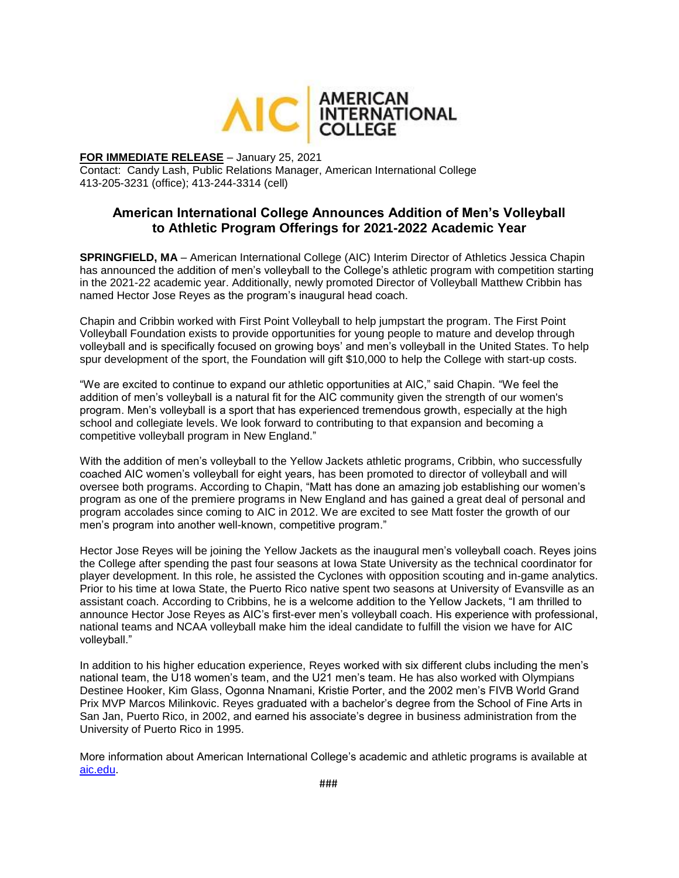

## **FOR IMMEDIATE RELEASE** – January 25, 2021

Contact: Candy Lash, Public Relations Manager, American International College 413-205-3231 (office); 413-244-3314 (cell)

# **American International College Announces Addition of Men's Volleyball to Athletic Program Offerings for 2021-2022 Academic Year**

**SPRINGFIELD, MA** – American International College (AIC) Interim Director of Athletics Jessica Chapin has announced the addition of men's volleyball to the College's athletic program with competition starting in the 2021-22 academic year. Additionally, newly promoted Director of Volleyball Matthew Cribbin has named Hector Jose Reyes as the program's inaugural head coach.

Chapin and Cribbin worked with First Point Volleyball to help jumpstart the program. The First Point Volleyball Foundation exists to provide opportunities for young people to mature and develop through volleyball and is specifically focused on growing boys' and men's volleyball in the United States. To help spur development of the sport, the Foundation will gift \$10,000 to help the College with start-up costs.

"We are excited to continue to expand our athletic opportunities at AIC," said Chapin. "We feel the addition of men's volleyball is a natural fit for the AIC community given the strength of our women's program. Men's volleyball is a sport that has experienced tremendous growth, especially at the high school and collegiate levels. We look forward to contributing to that expansion and becoming a competitive volleyball program in New England."

With the addition of men's volleyball to the Yellow Jackets athletic programs, Cribbin, who successfully coached AIC women's volleyball for eight years, has been promoted to director of volleyball and will oversee both programs. According to Chapin, "Matt has done an amazing job establishing our women's program as one of the premiere programs in New England and has gained a great deal of personal and program accolades since coming to AIC in 2012. We are excited to see Matt foster the growth of our men's program into another well-known, competitive program."

Hector Jose Reyes will be joining the Yellow Jackets as the inaugural men's volleyball coach. Reyes joins the College after spending the past four seasons at Iowa State University as the technical coordinator for player development. In this role, he assisted the Cyclones with opposition scouting and in-game analytics. Prior to his time at Iowa State, the Puerto Rico native spent two seasons at University of Evansville as an assistant coach. According to Cribbins, he is a welcome addition to the Yellow Jackets, "I am thrilled to announce Hector Jose Reyes as AIC's first-ever men's volleyball coach. His experience with professional, national teams and NCAA volleyball make him the ideal candidate to fulfill the vision we have for AIC volleyball."

In addition to his higher education experience, Reyes worked with six different clubs including the men's national team, the U18 women's team, and the U21 men's team. He has also worked with Olympians Destinee Hooker, Kim Glass, Ogonna Nnamani, Kristie Porter, and the 2002 men's FIVB World Grand Prix MVP Marcos Milinkovic. Reyes graduated with a bachelor's degree from the School of Fine Arts in San Jan, Puerto Rico, in 2002, and earned his associate's degree in business administration from the University of Puerto Rico in 1995.

More information about American International College's academic and athletic programs is available at [aic.edu.](https://www.aic.edu/)